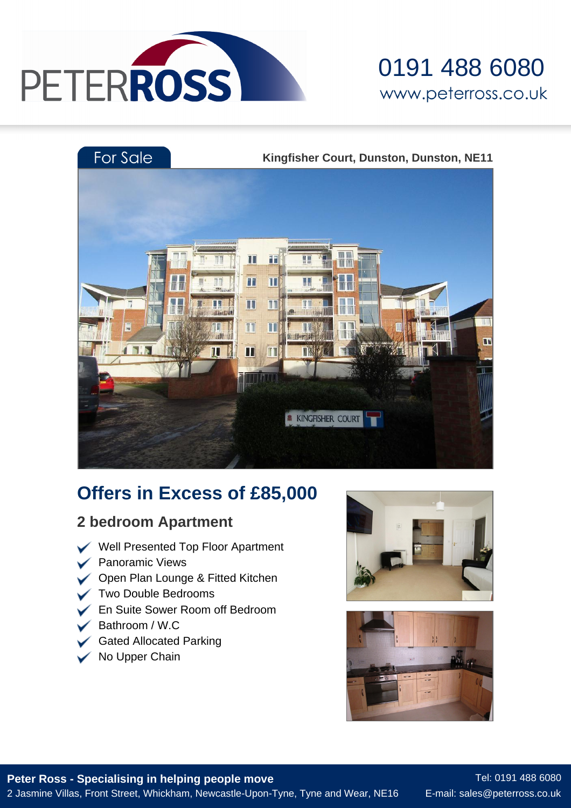

### 0191 488 6080 www.peterross.co.uk



### **Offers in Excess of £85,000**

### **2 bedroom Apartment**

- Well Presented Top Floor Apartment
- $\triangleright$  Panoramic Views
- **◯** Open Plan Lounge & Fitted Kitchen
- Two Double Bedrooms
- En Suite Sower Room off Bedroom
- Bathroom / W.C
- Gated Allocated Parking
- No Upper Chain





**Peter Ross - Specialising in helping people move** 2 Jasmine Villas, Front Street, Whickham, Newcastle-Upon-Tyne, Tyne and Wear, NE16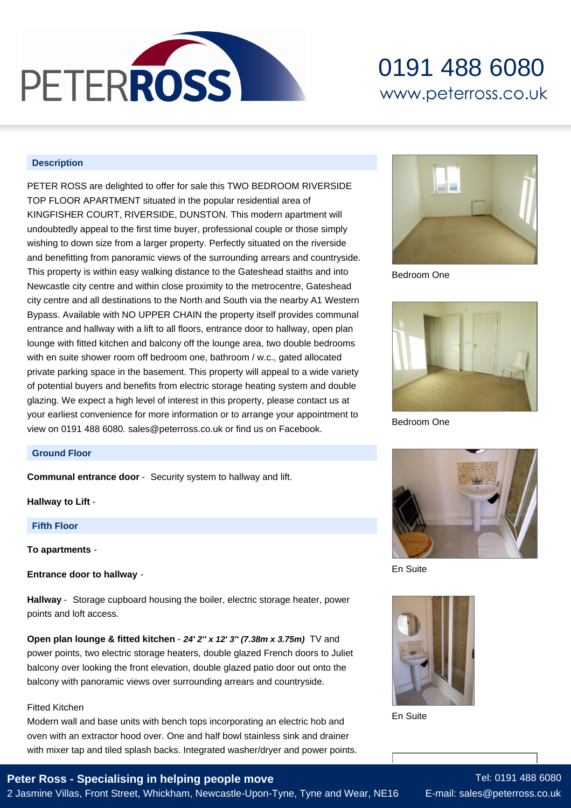

# 0191 488 6080 www.peterross.co.uk

#### **Description**

PETER ROSS are delighted to offer for sale this TWO BEDROOM RIVERSIDE TOP FLOOR APARTMENT situated in the popular residential area of KINGFISHER COURT, RIVERSIDE, DUNSTON. This modern apartment will undoubtedly appeal to the first time buyer, professional couple or those simply wishing to down size from a larger property. Perfectly situated on the riverside and benefitting from panoramic views of the surrounding arrears and countryside. This property is within easy walking distance to the Gateshead staiths and into Newcastle city centre and within close proximity to the metrocentre, Gateshead city centre and all destinations to the North and South via the nearby A1 Western Bypass. Available with NO UPPER CHAIN the property itself provides communal entrance and hallway with a lift to all floors, entrance door to hallway, open plan lounge with fitted kitchen and balcony off the lounge area, two double bedrooms with en suite shower room off bedroom one, bathroom / w.c., gated allocated private parking space in the basement. This property will appeal to a wide variety of potential buyers and benefits from electric storage heating system and double glazing. We expect a high level of interest in this property, please contact us at your earliest convenience for more information or to arrange your appointment to view on 0191 488 6080. sales@peterross.co.uk or find us on Facebook.



Bedroom One



Bedroom One

#### **Ground Floor**

**Communal entrance door** - Security system to hallway and lift.

**Hallway to Lift** -

**Fifth Floor**

**To apartments** -

**Entrance door to hallway** -

**Hallway** - Storage cupboard housing the boiler, electric storage heater, power points and loft access.

**Open plan lounge & fitted kitchen** - **24' 2'' x 12' 3'' (7.38m x 3.75m)** TV and power points, two electric storage heaters, double glazed French doors to Juliet balcony over looking the front elevation, double glazed patio door out onto the balcony with panoramic views over surrounding arrears and countryside.

#### Fitted Kitchen

Modern wall and base units with bench tops incorporating an electric hob and oven with an extractor hood over. One and half bowl stainless sink and drainer with mixer tap and tiled splash backs. Integrated washer/dryer and power points.

### **Peter Ross - Specialising in helping people move**

2 Jasmine Villas, Front Street, Whickham, Newcastle-Upon-Tyne, Tyne and Wear, NE16



En Suite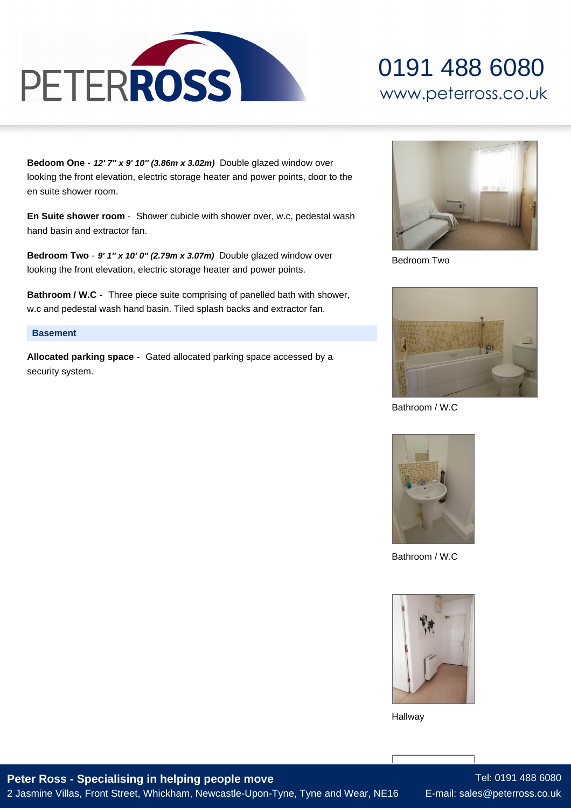

# 0191 488 6080 www.peterross.co.uk

**Bedoom One** - **12' 7'' x 9' 10'' (3.86m x 3.02m)** Double glazed window over looking the front elevation, electric storage heater and power points, door to the en suite shower room.

**En Suite shower room** - Shower cubicle with shower over, w.c, pedestal wash hand basin and extractor fan.

**Bedroom Two** - **9' 1'' x 10' 0'' (2.79m x 3.07m)** Double glazed window over looking the front elevation, electric storage heater and power points.

**Bathroom / W.C** - Three piece suite comprising of panelled bath with shower, w.c and pedestal wash hand basin. Tiled splash backs and extractor fan.

#### **Basement**

**Allocated parking space** - Gated allocated parking space accessed by a security system.



Bedroom Two



Bathroom / W.C



Bathroom / W.C



Hallway

**Peter Ross - Specialising in helping people move** 2 Jasmine Villas, Front Street, Whickham, Newcastle-Upon-Tyne, Tyne and Wear, NE16